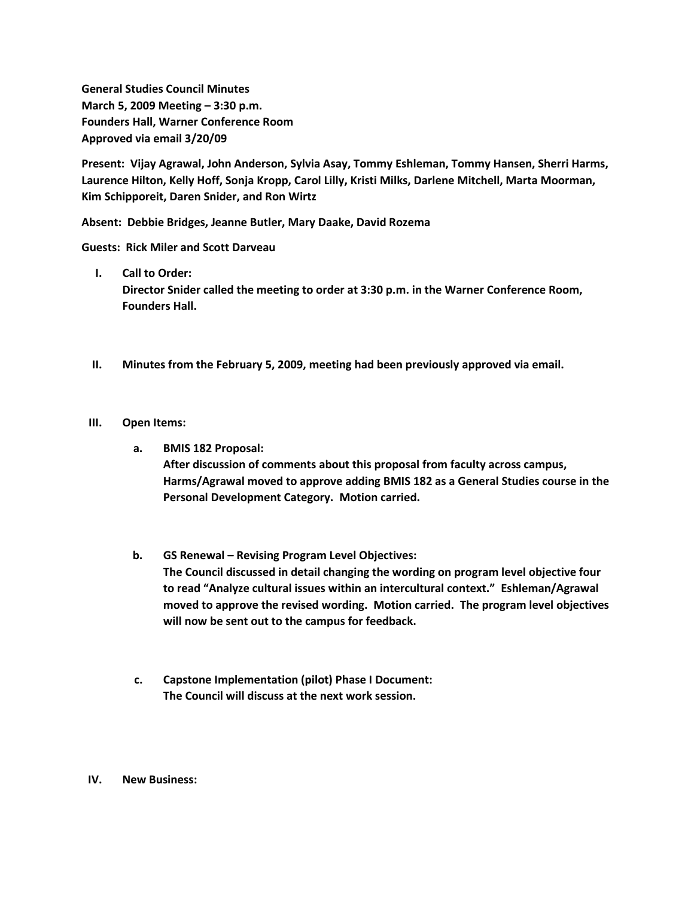**General Studies Council Minutes March 5, 2009 Meeting – 3:30 p.m. Founders Hall, Warner Conference Room Approved via email 3/20/09**

**Present: Vijay Agrawal, John Anderson, Sylvia Asay, Tommy Eshleman, Tommy Hansen, Sherri Harms, Laurence Hilton, Kelly Hoff, Sonja Kropp, Carol Lilly, Kristi Milks, Darlene Mitchell, Marta Moorman, Kim Schipporeit, Daren Snider, and Ron Wirtz**

**Absent: Debbie Bridges, Jeanne Butler, Mary Daake, David Rozema**

**Guests: Rick Miler and Scott Darveau**

**I. Call to Order:**

**Director Snider called the meeting to order at 3:30 p.m. in the Warner Conference Room, Founders Hall.**

**II. Minutes from the February 5, 2009, meeting had been previously approved via email.**

## **III. Open Items:**

**a. BMIS 182 Proposal:**

**After discussion of comments about this proposal from faculty across campus, Harms/Agrawal moved to approve adding BMIS 182 as a General Studies course in the Personal Development Category. Motion carried.**

- **b. GS Renewal – Revising Program Level Objectives: The Council discussed in detail changing the wording on program level objective four to read "Analyze cultural issues within an intercultural context." Eshleman/Agrawal moved to approve the revised wording. Motion carried. The program level objectives will now be sent out to the campus for feedback.**
- **c. Capstone Implementation (pilot) Phase I Document: The Council will discuss at the next work session.**

## **IV. New Business:**